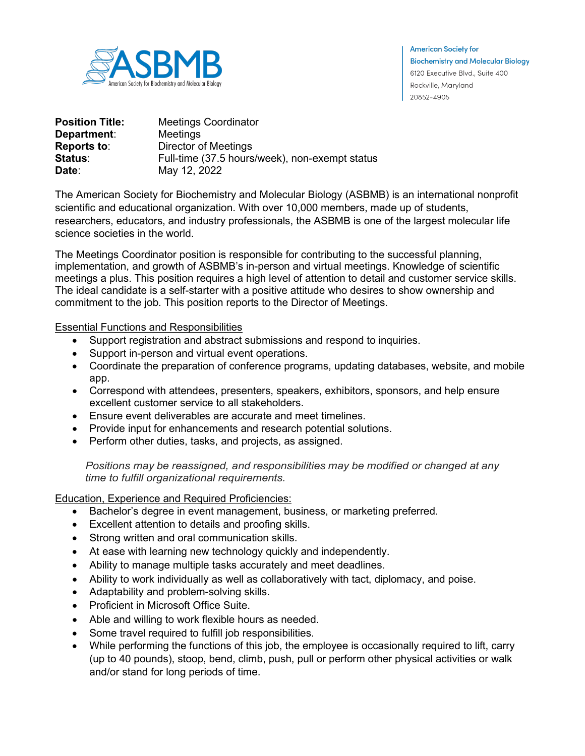

**American Society for Biochemistry and Molecular Biology** 6120 Executive Blvd., Suite 400 Rockville, Maryland 20852-4905

| <b>Position Title:</b> | <b>Meetings Coordinator</b>                    |
|------------------------|------------------------------------------------|
| Department:            | Meetings                                       |
| <b>Reports to:</b>     | Director of Meetings                           |
| Status:                | Full-time (37.5 hours/week), non-exempt status |
| Date:                  | May 12, 2022                                   |

The American Society for Biochemistry and Molecular Biology (ASBMB) is an international nonprofit scientific and educational organization. With over 10,000 members, made up of students, researchers, educators, and industry professionals, the ASBMB is one of the largest molecular life science societies in the world.

The Meetings Coordinator position is responsible for contributing to the successful planning, implementation, and growth of ASBMB's in-person and virtual meetings. Knowledge of scientific meetings a plus. This position requires a high level of attention to detail and customer service skills. The ideal candidate is a self-starter with a positive attitude who desires to show ownership and commitment to the job. This position reports to the Director of Meetings.

Essential Functions and Responsibilities

- Support registration and abstract submissions and respond to inquiries.
- Support in-person and virtual event operations.
- Coordinate the preparation of conference programs, updating databases, website, and mobile app.
- Correspond with attendees, presenters, speakers, exhibitors, sponsors, and help ensure excellent customer service to all stakeholders.
- Ensure event deliverables are accurate and meet timelines.
- Provide input for enhancements and research potential solutions.
- Perform other duties, tasks, and projects, as assigned.

*Positions may be reassigned, and responsibilities may be modified or changed at any time to fulfill organizational requirements.*

Education, Experience and Required Proficiencies:

- Bachelor's degree in event management, business, or marketing preferred.
- Excellent attention to details and proofing skills.
- Strong written and oral communication skills.
- At ease with learning new technology quickly and independently.
- Ability to manage multiple tasks accurately and meet deadlines.
- Ability to work individually as well as collaboratively with tact, diplomacy, and poise.
- Adaptability and problem-solving skills.
- Proficient in Microsoft Office Suite.
- Able and willing to work flexible hours as needed.
- Some travel required to fulfill job responsibilities.
- While performing the functions of this job, the employee is occasionally required to lift, carry (up to 40 pounds), stoop, bend, climb, push, pull or perform other physical activities or walk and/or stand for long periods of time.